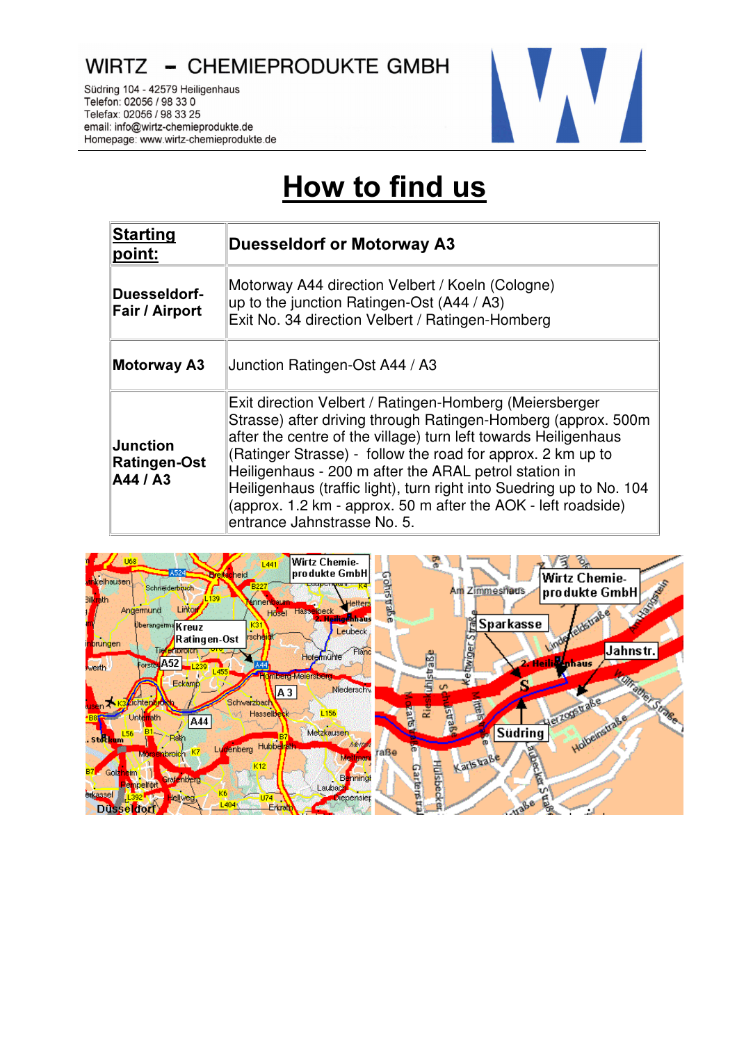WIRTZ - CHEMIEPRODUKTE GMBH

Südring 104 - 42579 Heiligenhaus Telefon: 02056 / 98 33 0 Telefax: 02056 / 98 33 25 email: info@wirtz-chemieprodukte.de Homepage: www.wirtz-chemieprodukte.de



## How to find us

| Starting<br>point:                          | <b>Duesseldorf or Motorway A3</b>                                                                                                                                                                                                                                                                                                                                                                                                                                                           |
|---------------------------------------------|---------------------------------------------------------------------------------------------------------------------------------------------------------------------------------------------------------------------------------------------------------------------------------------------------------------------------------------------------------------------------------------------------------------------------------------------------------------------------------------------|
| Duesseldorf-<br>Fair / Airport              | Motorway A44 direction Velbert / Koeln (Cologne)<br>up to the junction Ratingen-Ost $(A44 / A3)$<br>Exit No. 34 direction Velbert / Ratingen-Homberg                                                                                                                                                                                                                                                                                                                                        |
| <b>Motorway A3</b>                          | Junction Ratingen-Ost A44 / A3                                                                                                                                                                                                                                                                                                                                                                                                                                                              |
| $\sf{Junction}$<br>Ratingen-Ost<br>A44 / A3 | Exit direction Velbert / Ratingen-Homberg (Meiersberger<br>Strasse) after driving through Ratingen-Homberg (approx. 500m<br>after the centre of the village) turn left towards Heiligenhaus<br>(Ratinger Strasse) - follow the road for approx. 2 km up to<br>Heiligenhaus - 200 m after the ARAL petrol station in<br>Heiligenhaus (traffic light), turn right into Suedring up to No. 104<br>(approx. 1.2 km - approx. 50 m after the AOK - left roadside)<br>entrance Jahnstrasse No. 5. |